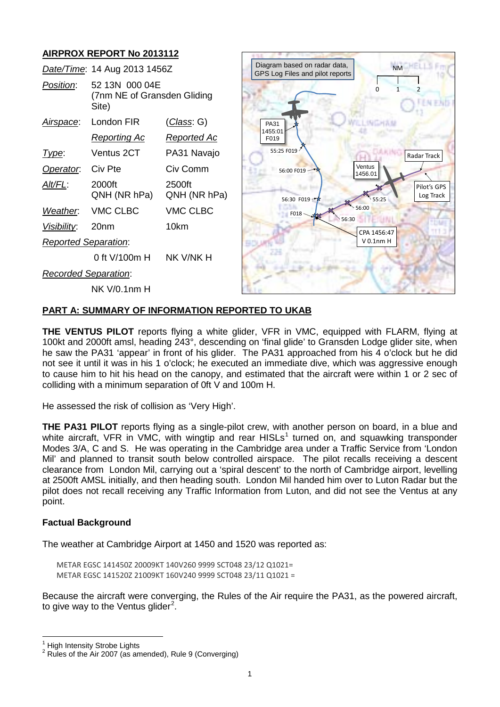

#### **PART A: SUMMARY OF INFORMATION REPORTED TO UKAB**

**THE VENTUS PILOT** reports flying a white glider, VFR in VMC, equipped with FLARM, flying at 100kt and 2000ft amsl, heading 243°, descending on 'final glide' to Gransden Lodge glider site, when he saw the PA31 'appear' in front of his glider. The PA31 approached from his 4 o'clock but he did not see it until it was in his 1 o'clock; he executed an immediate dive, which was aggressive enough to cause him to hit his head on the canopy, and estimated that the aircraft were within 1 or 2 sec of colliding with a minimum separation of 0ft V and 100m H.

He assessed the risk of collision as 'Very High'.

**THE PA31 PILOT** reports flying as a single-pilot crew, with another person on board, in a blue and white aircraft, VFR in VMC, with wingtip and rear HISLs<sup>[1](#page-0-0)</sup> turned on, and squawking transponder Modes 3/A, C and S. He was operating in the Cambridge area under a Traffic Service from 'London Mil' and planned to transit south below controlled airspace. The pilot recalls receiving a descent clearance from London Mil, carrying out a 'spiral descent' to the north of Cambridge airport, levelling at 2500ft AMSL initially, and then heading south. London Mil handed him over to Luton Radar but the pilot does not recall receiving any Traffic Information from Luton, and did not see the Ventus at any point.

#### **Factual Background**

The weather at Cambridge Airport at 1450 and 1520 was reported as:

METAR EGSC 141450Z 20009KT 140V260 9999 SCT048 23/12 Q1021= METAR EGSC 141520Z 21009KT 160V240 9999 SCT048 23/11 Q1021 =

Because the aircraft were converging, the Rules of the Air require the PA31, as the powered aircraft, to give way to the Ventus glider<sup>[2](#page-0-1)</sup>.

<span id="page-0-1"></span><span id="page-0-0"></span><sup>&</sup>lt;sup>1</sup> High Intensity Strobe Lights<br><sup>2</sup> Rules of the Air 2007 (as amended), Rule 9 (Converging)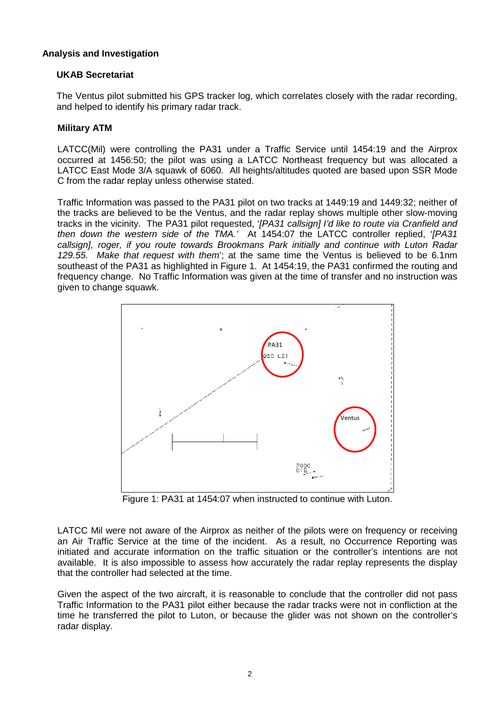### **Analysis and Investigation**

## **UKAB Secretariat**

The Ventus pilot submitted his GPS tracker log, which correlates closely with the radar recording, and helped to identify his primary radar track.

### **Military ATM**

LATCC(Mil) were controlling the PA31 under a Traffic Service until 1454:19 and the Airprox occurred at 1456:50; the pilot was using a LATCC Northeast frequency but was allocated a LATCC East Mode 3/A squawk of 6060. All heights/altitudes quoted are based upon SSR Mode C from the radar replay unless otherwise stated.

Traffic Information was passed to the PA31 pilot on two tracks at 1449:19 and 1449:32; neither of the tracks are believed to be the Ventus, and the radar replay shows multiple other slow-moving tracks in the vicinity. The PA31 pilot requested, '*[PA31 callsign] I'd like to route via Cranfield and then down the western side of the TMA.'* At 1454:07 the LATCC controller replied, '*[PA31 callsign], roger, if you route towards Brookmans Park initially and continue with Luton Radar 129.55. Make that request with them*'; at the same time the Ventus is believed to be 6.1nm southeast of the PA31 as highlighted in Figure 1. At 1454:19, the PA31 confirmed the routing and frequency change. No Traffic Information was given at the time of transfer and no instruction was given to change squawk.



Figure 1: PA31 at 1454:07 when instructed to continue with Luton.

LATCC Mil were not aware of the Airprox as neither of the pilots were on frequency or receiving an Air Traffic Service at the time of the incident. As a result, no Occurrence Reporting was initiated and accurate information on the traffic situation or the controller's intentions are not available. It is also impossible to assess how accurately the radar replay represents the display that the controller had selected at the time.

Given the aspect of the two aircraft, it is reasonable to conclude that the controller did not pass Traffic Information to the PA31 pilot either because the radar tracks were not in confliction at the time he transferred the pilot to Luton, or because the glider was not shown on the controller's radar display.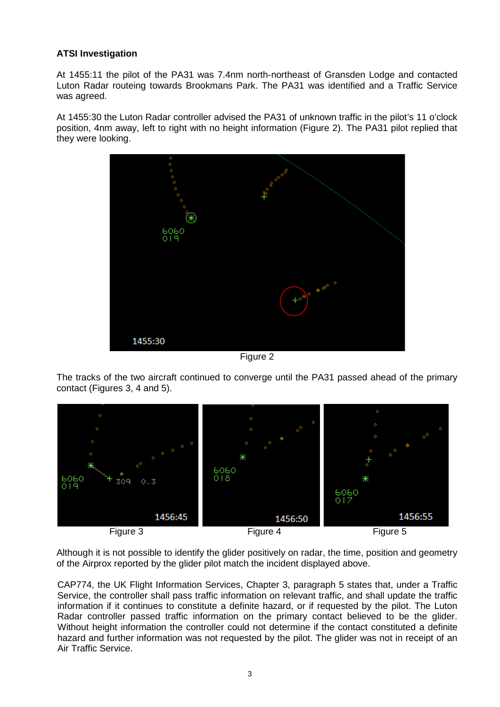# **ATSI Investigation**

At 1455:11 the pilot of the PA31 was 7.4nm north-northeast of Gransden Lodge and contacted Luton Radar routeing towards Brookmans Park. The PA31 was identified and a Traffic Service was agreed.

At 1455:30 the Luton Radar controller advised the PA31 of unknown traffic in the pilot's 11 o'clock position, 4nm away, left to right with no height information (Figure 2). The PA31 pilot replied that they were looking.



Figure 2

The tracks of the two aircraft continued to converge until the PA31 passed ahead of the primary contact (Figures 3, 4 and 5).



Although it is not possible to identify the glider positively on radar, the time, position and geometry of the Airprox reported by the glider pilot match the incident displayed above.

CAP774, the UK Flight Information Services, Chapter 3, paragraph 5 states that, under a Traffic Service, the controller shall pass traffic information on relevant traffic, and shall update the traffic information if it continues to constitute a definite hazard, or if requested by the pilot. The Luton Radar controller passed traffic information on the primary contact believed to be the glider. Without height information the controller could not determine if the contact constituted a definite hazard and further information was not requested by the pilot. The glider was not in receipt of an Air Traffic Service.